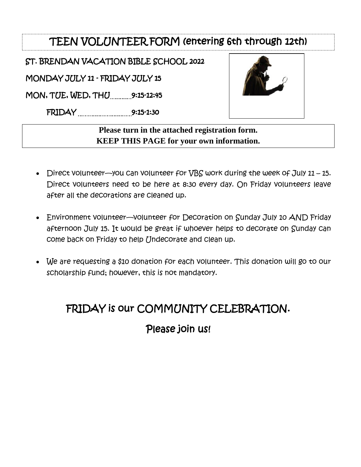## TEEN VOLUNTEER FORM (entering 6th through 12th)

ST. BRENDAN VACATION BIBLE SCHOOL 2022

MONDAY JULY 11 - FRIDAY JULY 15

MON, TUE, WED, THU 9:25-12:45

FRIDAY 9:25-2:30



**Please turn in the attached registration form. KEEP THIS PAGE for your own information.** 

- Direct volunteer—you can volunteer for VBS work during the week of July 11 15. Direct volunteers need to be here at 8:30 every day. On Friday volunteers leave after all the decorations are cleaned up.
- Environment volunteer—volunteer for Decoration on Sunday July 10 AND Friday afternoon July 15. It would be great if whoever helps to decorate on Sunday can come back on Friday to help Undecorate and clean up.
- We are requesting a \$10 donation for each volunteer. This donation will go to our scholarship fund; however, this is not mandatory.

## FRIDAY is our COMMUNITY CELEBRATION.

## Please join us!